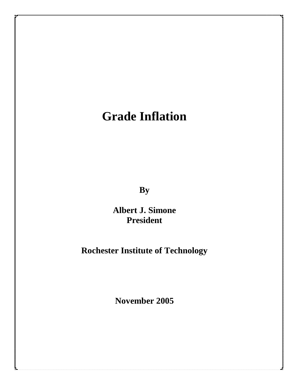# **Grade Inflation**

**By**

**Albert J. Simone President**

# **Rochester Institute of Technology**

**November 2005**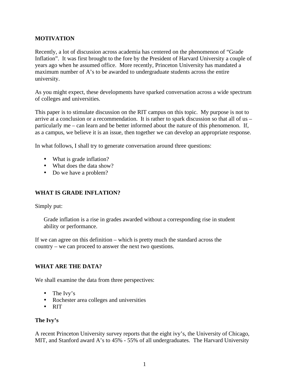#### **MOTIVATION**

Recently, a lot of discussion across academia has centered on the phenomenon of "Grade Inflation". It was first brought to the fore by the President of Harvard University a couple of years ago when he assumed office. More recently, Princeton University has mandated a maximum number of A's to be awarded to undergraduate students across the entire university.

As you might expect, these developments have sparked conversation across a wide spectrum of colleges and universities.

This paper is to stimulate discussion on the RIT campus on this topic. My purpose is not to arrive at a conclusion or a recommendation. It is rather to spark discussion so that all of us – particularly me – can learn and be better informed about the nature of this phenomenon. If, as a campus, we believe it is an issue, then together we can develop an appropriate response.

In what follows, I shall try to generate conversation around three questions:

- What is grade inflation?
- What does the data show?
- Do we have a problem?

#### **WHAT IS GRADE INFLATION?**

Simply put:

Grade inflation is a rise in grades awarded without a corresponding rise in student ability or performance.

If we can agree on this definition – which is pretty much the standard across the country – we can proceed to answer the next two questions.

#### **WHAT ARE THE DATA?**

We shall examine the data from three perspectives:

- The Ivy's
- Rochester area colleges and universities
- RIT

#### **The Ivy's**

A recent Princeton University survey reports that the eight ivy's, the University of Chicago, MIT, and Stanford award A's to 45% - 55% of all undergraduates. The Harvard University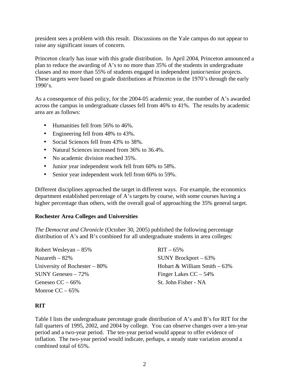president sees a problem with this result. Discussions on the Yale campus do not appear to raise any significant issues of concern.

Princeton clearly has issue with this grade distribution. In April 2004, Princeton announced a plan to reduce the awarding of A's to no more than 35% of the students in undergraduate classes and no more than 55% of students engaged in independent junior/senior projects. These targets were based on grade distributions at Princeton in the 1970's through the early 1990's.

As a consequence of this policy, for the 2004-05 academic year, the number of A's awarded across the campus in undergraduate classes fell from 46% to 41%. The results by academic area are as follows:

- Humanities fell from 56% to 46%.
- Engineering fell from 48% to 43%.
- Social Sciences fell from 43% to 38%.
- Natural Sciences increased from 36% to 36.4%.
- No academic division reached 35%.
- Junior year independent work fell from 60% to 58%.
- Senior year independent work fell from 60% to 59%.

Different disciplines approached the target in different ways. For example, the economics department established percentage of A's targets by course, with some courses having a higher percentage than others, with the overall goal of approaching the 35% general target.

#### **Rochester Area Colleges and Universities**

*The Democrat and Chronicle* (October 30, 2005) published the following percentage distribution of A's and B's combined for all undergraduate students in area colleges:

| Robert Wesleyan $-85%$          | $RIT - 65%$                    |
|---------------------------------|--------------------------------|
| Nazareth $-82\%$                | SUNY Brockport $-63\%$         |
| University of Rochester $-80\%$ | Hobart & William Smith $-63\%$ |
| $SUNY$ Geneseo - 72%            | Finger Lakes $CC - 54\%$       |
| Geneseo $CC - 66\%$             | St. John Fisher - NA           |
| Monroe $CC - 65\%$              |                                |

#### **RIT**

Table I lists the undergraduate percentage grade distribution of A's and B's for RIT for the fall quarters of 1995, 2002, and 2004 by college. You can observe changes over a ten-year period and a two-year period. The ten-year period would appear to offer evidence of inflation. The two-year period would indicate, perhaps, a steady state variation around a combined total of 65%.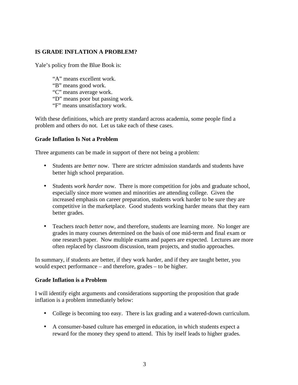#### **IS GRADE INFLATION A PROBLEM?**

Yale's policy from the Blue Book is:

- "A" means excellent work.
- "B" means good work.
- "C" means average work.
- "D" means poor but passing work.
- "F" means unsatisfactory work.

With these definitions, which are pretty standard across academia, some people find a problem and others do not. Let us take each of these cases.

#### **Grade Inflation Is Not a Problem**

Three arguments can be made in support of there not being a problem:

- Students are *better* now. There are stricter admission standards and students have better high school preparation.
- Students *work harder* now. There is more competition for jobs and graduate school, especially since more women and minorities are attending college. Given the increased emphasis on career preparation, students work harder to be sure they are competitive in the marketplace. Good students working harder means that they earn better grades.
- Teachers *teach better* now, and therefore, students are learning more. No longer are grades in many courses determined on the basis of one mid-term and final exam or one research paper. Now multiple exams and papers are expected. Lectures are more often replaced by classroom discussion, team projects, and studio approaches.

In summary, if students are better, if they work harder, and if they are taught better, you would expect performance – and therefore, grades – to be higher.

#### **Grade Inflation is a Problem**

I will identify eight arguments and considerations supporting the proposition that grade inflation is a problem immediately below:

- College is becoming too easy. There is lax grading and a watered-down curriculum.
- A consumer-based culture has emerged in education, in which students expect a reward for the money they spend to attend. This by itself leads to higher grades.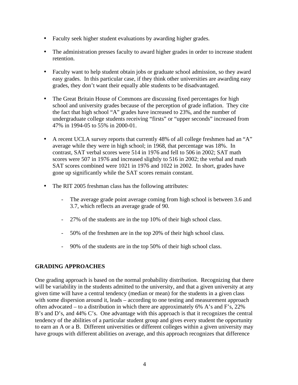- Faculty seek higher student evaluations by awarding higher grades.
- The administration presses faculty to award higher grades in order to increase student retention.
- Faculty want to help student obtain jobs or graduate school admission, so they award easy grades. In this particular case, if they think other universities are awarding easy grades, they don't want their equally able students to be disadvantaged.
- The Great Britain House of Commons are discussing fixed percentages for high school and university grades because of the perception of grade inflation. They cite the fact that high school "A" grades have increased to 23%, and the number of undergraduate college students receiving "firsts" or "upper seconds" increased from 47% in 1994-05 to 55% in 2000-01.
- A recent UCLA survey reports that currently 48% of all college freshmen had an "A" average while they were in high school; in 1968, that percentage was 18%. In contrast, SAT verbal scores were 514 in 1976 and fell to 506 in 2002; SAT math scores were 507 in 1976 and increased slightly to 516 in 2002; the verbal and math SAT scores combined were 1021 in 1976 and 1022 in 2002. In short, grades have gone up significantly while the SAT scores remain constant.
- The RIT 2005 freshman class has the following attributes:
	- The average grade point average coming from high school is between 3.6 and 3.7, which reflects an average grade of 90.
	- 27% of the students are in the top 10% of their high school class.
	- 50% of the freshmen are in the top 20% of their high school class.
	- 90% of the students are in the top 50% of their high school class.

#### **GRADING APPROACHES**

One grading approach is based on the normal probability distribution. Recognizing that there will be variability in the students admitted to the university, and that a given university at any given time will have a central tendency (median or mean) for the students in a given class with some dispersion around it, leads – according to one testing and measurement approach often advocated – to a distribution in which there are approximately 6% A's and F's, 22% B's and D's, and 44% C's. One advantage with this approach is that it recognizes the central tendency of the abilities of a particular student group and gives every student the opportunity to earn an A or a B. Different universities or different colleges within a given university may have groups with different abilities on average, and this approach recognizes that difference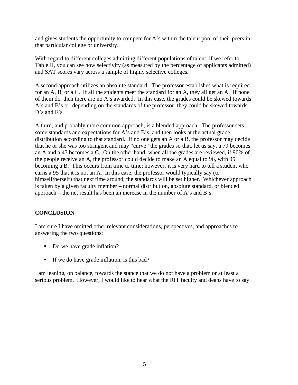and gives students the opportunity to compete for A's within the talent pool of their peers in that particular college or university.

With regard to different colleges admitting different populations of talent, if we refer to Table II, you can see how selectivity (as measured by the percentage of applicants admitted) and SAT scores vary across a sample of highly selective colleges.

A second approach utilizes an absolute standard. The professor establishes what is required for an A, B, or a C. If all the students meet the standard for an A, they all get an A. If none of them do, then there are no A's awarded. In this case, the grades could be skewed towards A's and B's or, depending on the standards of the professor, they could be skewed towards D's and F's.

A third, and probably more common approach, is a blended approach. The professor sets some standards and expectations for A's and B's, and then looks at the actual grade distribution according to that standard. If no one gets an A or a B, the professor may decide that he or she was too stringent and may "curve" the grades so that, let us say, a 79 becomes an A and a 43 becomes a C. On the other hand, when all the grades are reviewed, if 90% of the people receive an A, the professor could decide to make an A equal to 96, with 95 becoming a B. This occurs from time to time; however, it is very hard to tell a student who earns a 95 that it is not an A. In this case, the professor would typically say (to himself/herself) that next time around, the standards will be set higher. Whichever approach is taken by a given faculty member – normal distribution, absolute standard, or blended approach – the net result has been an increase in the number of A's and B's.

#### **CONCLUSION**

I am sure I have omitted other relevant considerations, perspectives, and approaches to answering the two questions:

- Do we have grade inflation?
- If we do have grade inflation, is this bad?

I am leaning, on balance, towards the stance that we do not have a problem or at least a serious problem. However, I would like to hear what the RIT faculty and deans have to say.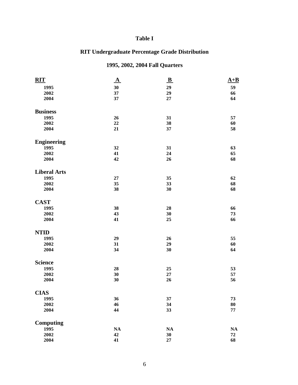#### **Table I**

## **RIT Undergraduate Percentage Grade Distribution**

## **1995, 2002, 2004 Fall Quarters**

| <b>RIT</b>          | $\Delta$      | $\mathbf{B}$  | $A+B$ |
|---------------------|---------------|---------------|-------|
| 1995                | 30            | 29            | 59    |
| 2002                | 37            | 29            | 66    |
| 2004                | 37            | 27            | 64    |
| <b>Business</b>     |               |               |       |
| 1995                | 26            | 31            | 57    |
| 2002                | 22            | 38            | 60    |
| 2004                | 21            | 37            | 58    |
| <b>Engineering</b>  |               |               |       |
| 1995                | 32            | 31            | 63    |
| 2002                | 41            | 24            | 65    |
| 2004                | 42            | 26            | 68    |
| <b>Liberal Arts</b> |               |               |       |
| 1995                | 27            | 35            | 62    |
| 2002                | 35            | 33            | 68    |
| 2004                | 38            | 30            | 68    |
| <b>CAST</b>         |               |               |       |
| 1995                | 38            | 28            | 66    |
| 2002                | 43            | 30            | 73    |
| 2004                | 41            | 25            | 66    |
| <b>NTID</b>         |               |               |       |
| 1995                | 29            | 26            | 55    |
| 2002                | 31            | 29            | 60    |
| 2004                | 34            | 30            | 64    |
| <b>Science</b>      |               |               |       |
| 1995                | 28            | 25            | 53    |
| 2002                | 30            | $\bf 27$      | 57    |
| 2004                | 30            | 26            | 56    |
| <b>CIAS</b>         |               |               |       |
| 1995                | 36            | 37            | 73    |
| 2002                | 46            | 34            | 80    |
| 2004                | 44            | 33            | 77    |
| <b>Computing</b>    |               |               |       |
| 1995                | $\mathbf{NA}$ | $\mathbf{NA}$ | NA    |
| 2002                | 42            | 30            | 72    |
| 2004                | 41            | $\bf 27$      | 68    |